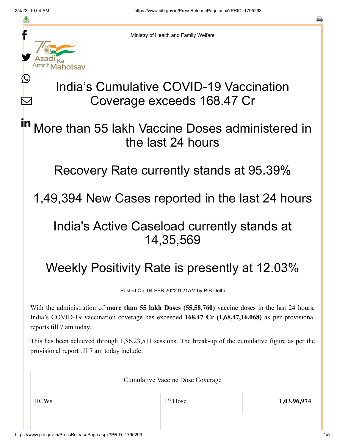≛

Ŀ

 $\bm{\nabla}$ 



Ministry of Health and Family Welfare

# India's Cumulative COVID-19 Vaccination Coverage exceeds 168.47 Cr

#### More than 55 lakh Vaccine Doses administered in the last 24 hours in

#### Recovery Rate currently stands at 95.39%

## 1,49,394 New Cases reported in the last 24 hours

### India's Active Caseload currently stands at 14,35,569

# Weekly Positivity Rate is presently at 12.03%

Posted On: 04 FEB 2022 9:21AM by PIB Delhi

With the administration of **more than 55 lakh Doses (55,58,760)** vaccine doses in the last 24 hours, India's COVID-19 vaccination coverage has exceeded **168.47 Cr (1,68,47,16,068)** as per provisional reports till 7 am today.

This has been achieved through 1,86,23,511 sessions. The break-up of the cumulative figure as per the provisional report till 7 am today include:

| <b>Cumulative Vaccine Dose Coverage</b> |                      |             |  |
|-----------------------------------------|----------------------|-------------|--|
| <b>HCWs</b>                             | 1 <sup>st</sup> Dose | 1,03,96,974 |  |
|                                         |                      |             |  |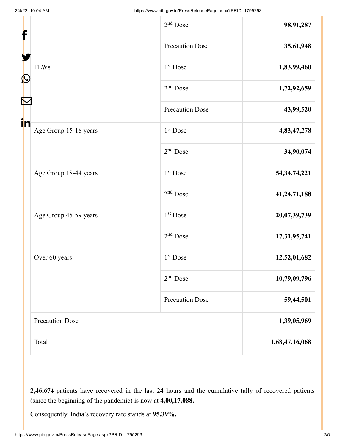| f                           | $2nd$ Dose             | 98,91,287       |
|-----------------------------|------------------------|-----------------|
|                             | <b>Precaution Dose</b> | 35,61,948       |
| <b>FLWs</b>                 | $1st$ Dose             | 1,83,99,460     |
| $\mathbf{\Omega}$           | 2 <sup>nd</sup> Dose   | 1,72,92,659     |
|                             | <b>Precaution Dose</b> | 43,99,520       |
| in<br>Age Group 15-18 years | 1 <sup>st</sup> Dose   | 4,83,47,278     |
|                             | $2nd$ Dose             | 34,90,074       |
| Age Group 18-44 years       | $1st$ Dose             | 54, 34, 74, 221 |
|                             | $2nd$ Dose             | 41,24,71,188    |
| Age Group 45-59 years       | $1st$ Dose             | 20,07,39,739    |
|                             | $2nd$ Dose             | 17,31,95,741    |
| Over 60 years               | 1 <sup>st</sup> Dose   | 12,52,01,682    |
|                             | $2nd$ Dose             | 10,79,09,796    |
|                             | <b>Precaution Dose</b> | 59,44,501       |
| <b>Precaution Dose</b>      |                        | 1,39,05,969     |
| Total                       |                        | 1,68,47,16,068  |

**2,46,674** patients have recovered in the last 24 hours and the cumulative tally of recovered patients (since the beginning of the pandemic) is now at **4,00,17,088.**

Consequently, India's recovery rate stands at **95.39%.**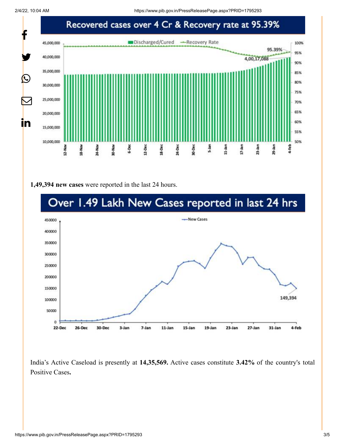2/4/22, 10:04 AM https://www.pib.gov.in/PressReleasePage.aspx?PRID=1795293



#### **1,49,394 new cases** were reported in the last 24 hours.



India's Active Caseload is presently at **14,35,569.** Active cases constitute **3.42%** of the country's total Positive Cases**.**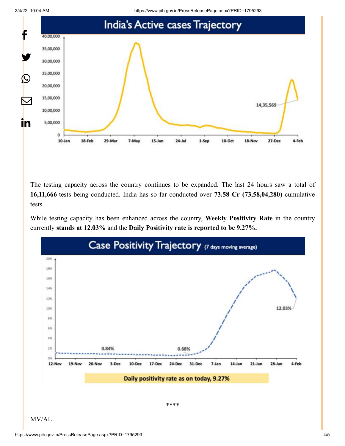2/4/22, 10:04 AM https://www.pib.gov.in/PressReleasePage.aspx?PRID=1795293



The testing capacity across the country continues to be expanded. The last 24 hours saw a total of **16,11,666** tests being conducted. India has so far conducted over **73.58 Cr (73,58,04,280**) cumulative tests.

While testing capacity has been enhanced across the country, **Weekly Positivity Rate** in the country currently **stands at 12.03%** and the **Daily Positivity rate is reported to be 9.27%.**